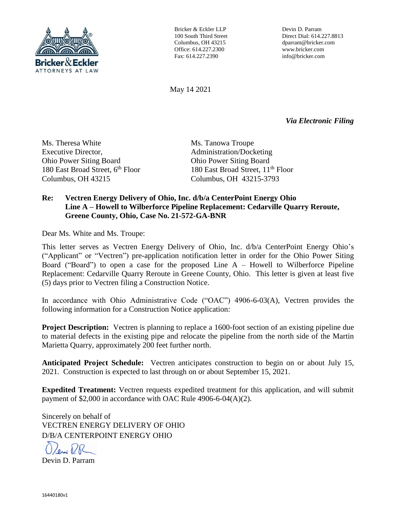

Bricker & Eckler LLP 100 South Third Street Columbus, OH 43215 Office: 614.227.2300 Fax: 614.227.2390

Devin D. Parram Direct Dial: 614.227.8813 dparram@bricker.com www.bricker.com info@bricker.com

May 14 2021

*Via Electronic Filing*

Ms. Theresa White Executive Director, Ohio Power Siting Board 180 East Broad Street, 6<sup>th</sup> Floor Columbus, OH 43215

Ms. Tanowa Troupe Administration/Docketing Ohio Power Siting Board 180 East Broad Street, 11<sup>th</sup> Floor Columbus, OH 43215-3793

## **Re: Vectren Energy Delivery of Ohio, Inc. d/b/a CenterPoint Energy Ohio Line A – Howell to Wilberforce Pipeline Replacement: Cedarville Quarry Reroute, Greene County, Ohio, Case No. 21-572-GA-BNR**

Dear Ms. White and Ms. Troupe:

This letter serves as Vectren Energy Delivery of Ohio, Inc. d/b/a CenterPoint Energy Ohio's ("Applicant" or "Vectren") pre-application notification letter in order for the Ohio Power Siting Board ("Board") to open a case for the proposed Line  $A - H$ owell to Wilberforce Pipeline Replacement: Cedarville Quarry Reroute in Greene County, Ohio. This letter is given at least five (5) days prior to Vectren filing a Construction Notice.

In accordance with Ohio Administrative Code ("OAC") 4906-6-03(A), Vectren provides the following information for a Construction Notice application:

**Project Description:** Vectren is planning to replace a 1600-foot section of an existing pipeline due to material defects in the existing pipe and relocate the pipeline from the north side of the Martin Marietta Quarry, approximately 200 feet further north.

**Anticipated Project Schedule:** Vectren anticipates construction to begin on or about July 15, 2021. Construction is expected to last through on or about September 15, 2021.

**Expedited Treatment:** Vectren requests expedited treatment for this application, and will submit payment of \$2,000 in accordance with OAC Rule 4906-6-04(A)(2).

Sincerely on behalf of VECTREN ENERGY DELIVERY OF OHIO D/B/A CENTERPOINT ENERGY OHIO

Devin D. Parram